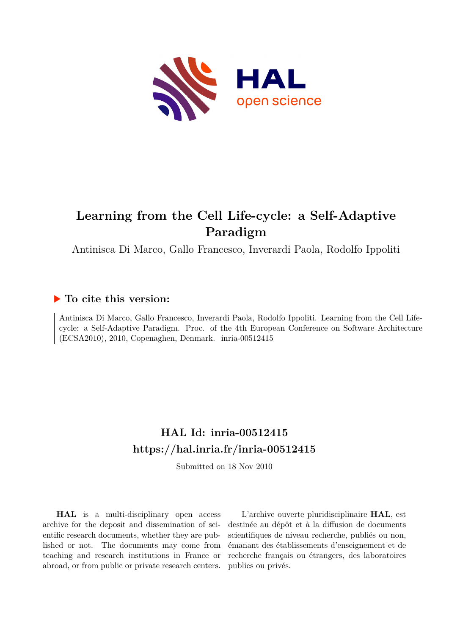

# **Learning from the Cell Life-cycle: a Self-Adaptive Paradigm**

Antinisca Di Marco, Gallo Francesco, Inverardi Paola, Rodolfo Ippoliti

## **To cite this version:**

Antinisca Di Marco, Gallo Francesco, Inverardi Paola, Rodolfo Ippoliti. Learning from the Cell Lifecycle: a Self-Adaptive Paradigm. Proc. of the 4th European Conference on Software Architecture  $(ECSA2010)$ , 2010, Copenaghen, Denmark. inria-00512415

## **HAL Id: inria-00512415 <https://hal.inria.fr/inria-00512415>**

Submitted on 18 Nov 2010

**HAL** is a multi-disciplinary open access archive for the deposit and dissemination of scientific research documents, whether they are published or not. The documents may come from teaching and research institutions in France or abroad, or from public or private research centers.

L'archive ouverte pluridisciplinaire **HAL**, est destinée au dépôt et à la diffusion de documents scientifiques de niveau recherche, publiés ou non, émanant des établissements d'enseignement et de recherche français ou étrangers, des laboratoires publics ou privés.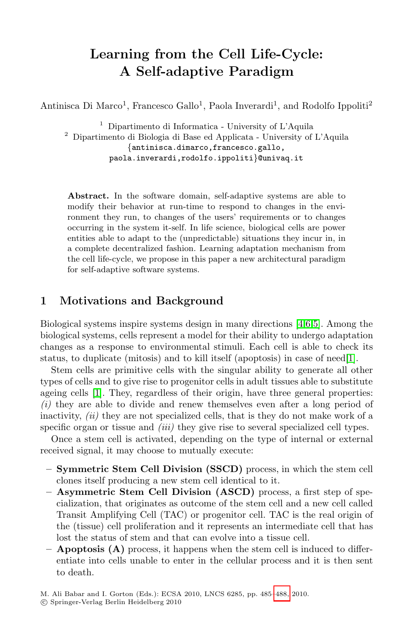## **Learning from the Cell Life-Cycle: A Self-adaptive Paradigm**

Antinisca Di Marco<sup>1</sup>, Francesco Gallo<sup>1</sup>, Paola Inverardi<sup>1</sup>, and Rodolfo Ippoliti<sup>2</sup>

<sup>1</sup> Dipartimento di Informatica - University of L'Aquila <sup>2</sup> Dipartimento di Biologia di Base ed Applicata - University of L'Aquila *{*antinisca.dimarco,francesco.gallo, paola.inverardi,rodolfo.ippoliti*}*@univaq.it

**Abstract.** In the software domain, self-adaptive systems are able to modify their behavior at run-time to respond to changes in the environment they run, to changes of the users' requirements or to changes occurring in the system it-self. In life science, biological cells are power entities able to adapt to the (unpredictable) situations they incur in, in a complete decentralized fashion. Learning adaptation mechanism from the cell life-cycle, we propose in this paper a new architectural paradigm for self-adaptive software systems.

#### **1 Motivations and Background**

Biological systems inspire systems design in many directions [4,6,5]. Among the biological systems, cells represent a model for their ability to undergo adaptation changes as a response to environmental stimuli. Each cell is able to check its status, to duplicate (mitosis) and to kill itself (apoptosis) in case of need[1].

Stem cells are primitive cells with the singular ability to generate all other types of cells and to give rise to progenitor cells in adult tissues able to substitute ageing cells [1]. They, regardless of their origin, have three general properties: *(i)* they are able to divide and renew themselves even after a long period of inactivity, *(ii)* they are not specialized cells, that is they do not make work of a specific organ or tissue and *(iii)* they give rise to several specialized cell types.

Once a stem cell is activated, depending on the type of internal or external received signal, it may choose to mutually execute:

- **Symmetric Stem Cell Division (SSCD)** process, in which the stem cell clones itself producing a new stem cell identical to it.
- **Asymmetric Stem Cell Division (ASCD)** process, a first step of specialization, that originates as outcome of the stem cell and a new cell called Transit Amplifying Cell (TAC) or progenitor cell. TAC is the real origin of the (tissue) cell proliferation and it represents an intermediate cell that has lost the status of stem and that can evolve into a tissue cell.
- **Apoptosis (A)** process, it happens when the stem cell is induced to differentiate into cells unable to enter in the cellular process and it is then sent to death.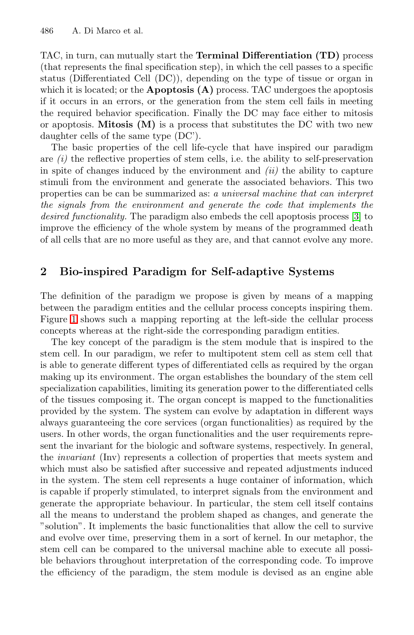TAC, in turn, can mutually start the **Terminal Differentiation (TD)** process (that represents the final specification step), in which the cell passes to a specific status (Differentiated Cell (DC)), depending on the type of tissue or organ in which it is located; or the **Apoptosis (A)** process. TAC undergoes the apoptosis if it occurs in an errors, or the generation from the stem cell fails in meeting the required behavior specification. Finally the DC may face either to mitosis or apoptosis. **Mitosis (M)** is a process that substitutes the DC with two new daughter cells of the same type (DC').

The basic properties of the cell life-cycle that have inspired our paradigm are *(i)* the reflective properties of stem cells, i.e. the ability to self-preservation in spite of changes induced by the environment and *(ii)* the ability to capture stimuli from the environment and generate the associated behaviors. This two properties can be can be summarized as: *a universal machine that can interpret the signals from the environment and generate the code that implements the desired functionality.* The paradigm also embeds the cell apoptosis process [3] to improve the efficiency of the whole system by means of the programmed death of all cells that are no more useful as they are, and that cannot evolve any more.

#### **2 Bio-inspired Paradigm for Self-adaptive Systems**

The definition of the paradigm we propose is given by means of a mapping between the paradigm entities and the cellular process concepts inspiring them. Figure 1 shows such a mapping reporting at the left-side the cellular process concepts whereas at the right-side the corresponding paradigm entities.

The key concept of the paradigm is the stem module that is inspired to the stem cell. In our paradigm, we refer to multipotent stem cell as stem cell that is able to generate different types of differentiated cells as required by the organ making up its environment. The organ establishes the boundary of the stem cell specialization capabilities, limiting its generation power to the differentiated cells of the tissues composing it. The organ concept is mapped to the functionalities provided by the system. The system can evolve by adaptation in different ways always guaranteeing the core services (organ functionalities) as required by the users. In other words, the organ functionalities and the user requirements represent the invariant for the biologic and software systems, respectively. In general, the *invariant* (Inv) represents a collection of properties that meets system and which must also be satisfied after successive and repeated adjustments induced in the system. The stem cell represents a huge container of information, which is capable if properly stimulated, to interpret signals from the environment and generate the appropriate behaviour. In particular, the stem cell itself contains all the means to understand the problem shaped as changes, and generate the "solution". It implements the basic functionalities that allow the cell to survive and evolve over time, preserving them in a sort of kernel. In our metaphor, the stem cell can be compared to the universal machine able to execute all possible behaviors throughout interpretation of the corresponding code. To improve the efficiency of the paradigm, the stem module is devised as an engine able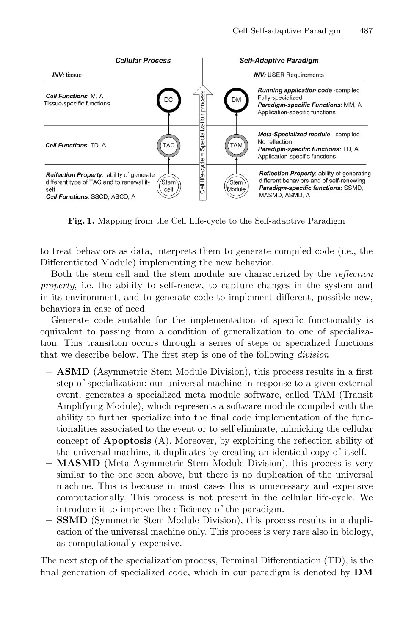

**Fig. 1.** Mapping from the Cell Life-cycle to the Self-adaptive Paradigm

to treat behaviors as data, interprets them to generate compiled code (i.e., the Differentiated Module) implementing the new behavior.

Both the stem cell and the stem module are characterized by the *reflection property*, i.e. the ability to self-renew, to capture changes in the system and in its environment, and to generate code to implement different, possible new, behaviors in case of need.

Generate code suitable for the implementation of specific functionality is equivalent to passing from a condition of generalization to one of specialization. This transition occurs through a series of steps or specialized functions that we describe below. The first step is one of the following *division*:

- **ASMD** (Asymmetric Stem Module Division), this process results in a first step of specialization: our universal machine in response to a given external event, generates a specialized meta module software, called TAM (Transit Amplifying Module), which represents a software module compiled with the ability to further specialize into the final code implementation of the functionalities associated to the event or to self eliminate, mimicking the cellular concept of **Apoptosis** (A). Moreover, by exploiting the reflection ability of the universal machine, it duplicates by creating an identical copy of itself.
- **MASMD** (Meta Asymmetric Stem Module Division), this process is very similar to the one seen above, but there is no duplication of the universal machine. This is because in most cases this is unnecessary and expensive computationally. This process is not present in the cellular life-cycle. We introduce it to improve the efficiency of the paradigm.
- **SSMD** (Symmetric Stem Module Division), this process results in a duplication of the universal machine only. This process is very rare also in biology, as computationally expensive.

The next step of the specialization process, Terminal Differentiation (TD), is the final generation of specialized code, which in our paradigm is denoted by **DM**